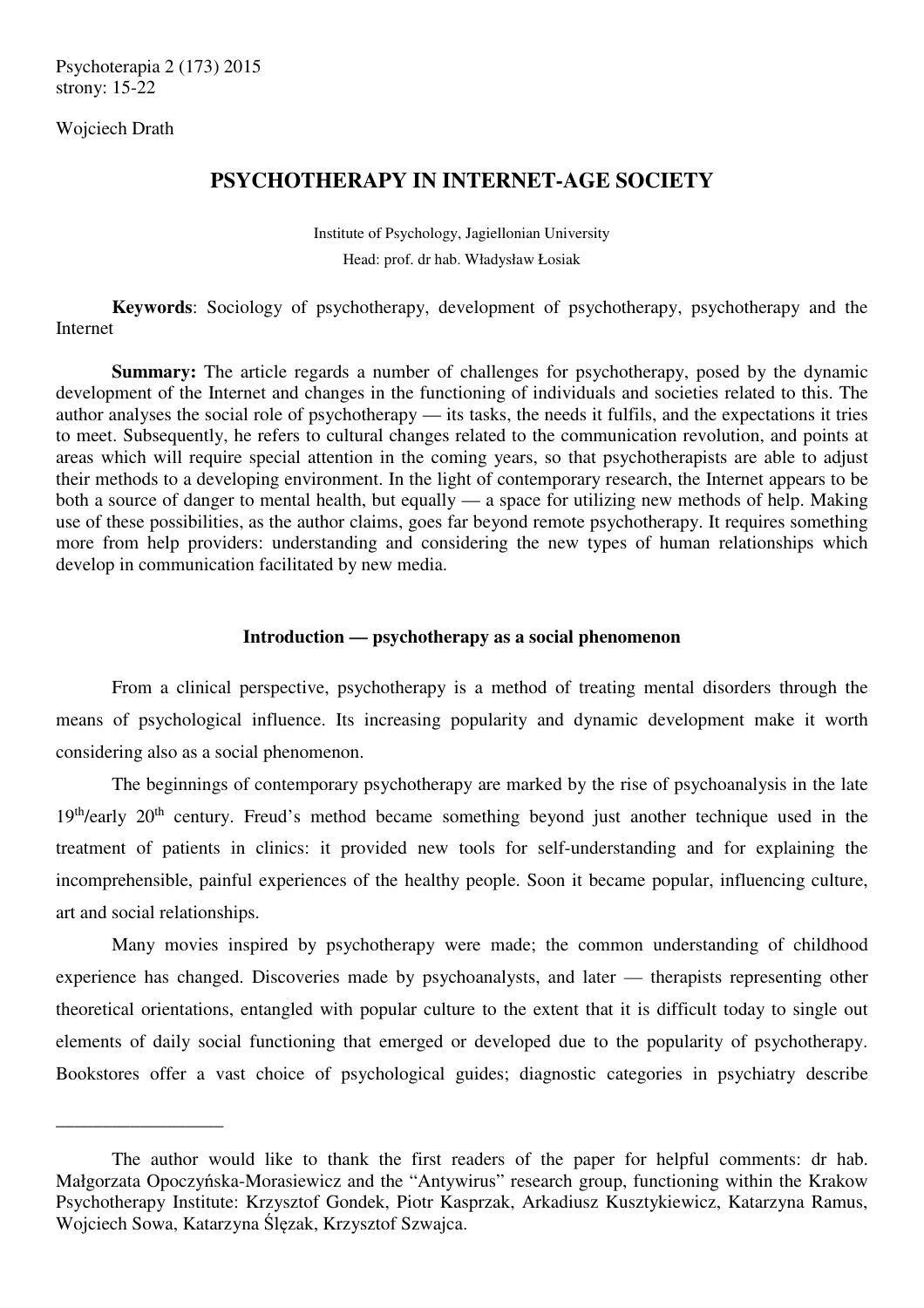Psychoterapia 2 (173) 2015 strony: 15-22

Wojciech Drath

\_\_\_\_\_\_\_\_\_\_\_\_\_\_\_\_\_\_

# **PSYCHOTHERAPY IN INTERNET-AGE SOCIETY**

Institute of Psychology, Jagiellonian University Head: prof. dr hab. Władysław Łosiak

**Keywords**: Sociology of psychotherapy, development of psychotherapy, psychotherapy and the Internet

 **Summary:** The article regards a number of challenges for psychotherapy, posed by the dynamic development of the Internet and changes in the functioning of individuals and societies related to this. The author analyses the social role of psychotherapy — its tasks, the needs it fulfils, and the expectations it tries to meet. Subsequently, he refers to cultural changes related to the communication revolution, and points at areas which will require special attention in the coming years, so that psychotherapists are able to adjust their methods to a developing environment. In the light of contemporary research, the Internet appears to be both a source of danger to mental health, but equally — a space for utilizing new methods of help. Making use of these possibilities, as the author claims, goes far beyond remote psychotherapy. It requires something more from help providers: understanding and considering the new types of human relationships which develop in communication facilitated by new media.

# **Introduction — psychotherapy as a social phenomenon**

 From a clinical perspective, psychotherapy is a method of treating mental disorders through the means of psychological influence. Its increasing popularity and dynamic development make it worth considering also as a social phenomenon.

 The beginnings of contemporary psychotherapy are marked by the rise of psychoanalysis in the late 19<sup>th</sup>/early 20<sup>th</sup> century. Freud's method became something beyond just another technique used in the treatment of patients in clinics: it provided new tools for self-understanding and for explaining the incomprehensible, painful experiences of the healthy people. Soon it became popular, influencing culture, art and social relationships.

 Many movies inspired by psychotherapy were made; the common understanding of childhood experience has changed. Discoveries made by psychoanalysts, and later — therapists representing other theoretical orientations, entangled with popular culture to the extent that it is difficult today to single out elements of daily social functioning that emerged or developed due to the popularity of psychotherapy. Bookstores offer a vast choice of psychological guides; diagnostic categories in psychiatry describe

The author would like to thank the first readers of the paper for helpful comments: dr hab. Małgorzata Opoczyńska-Morasiewicz and the "Antywirus" research group, functioning within the Krakow Psychotherapy Institute: Krzysztof Gondek, Piotr Kasprzak, Arkadiusz Kusztykiewicz, Katarzyna Ramus, Wojciech Sowa, Katarzyna Ślęzak, Krzysztof Szwajca.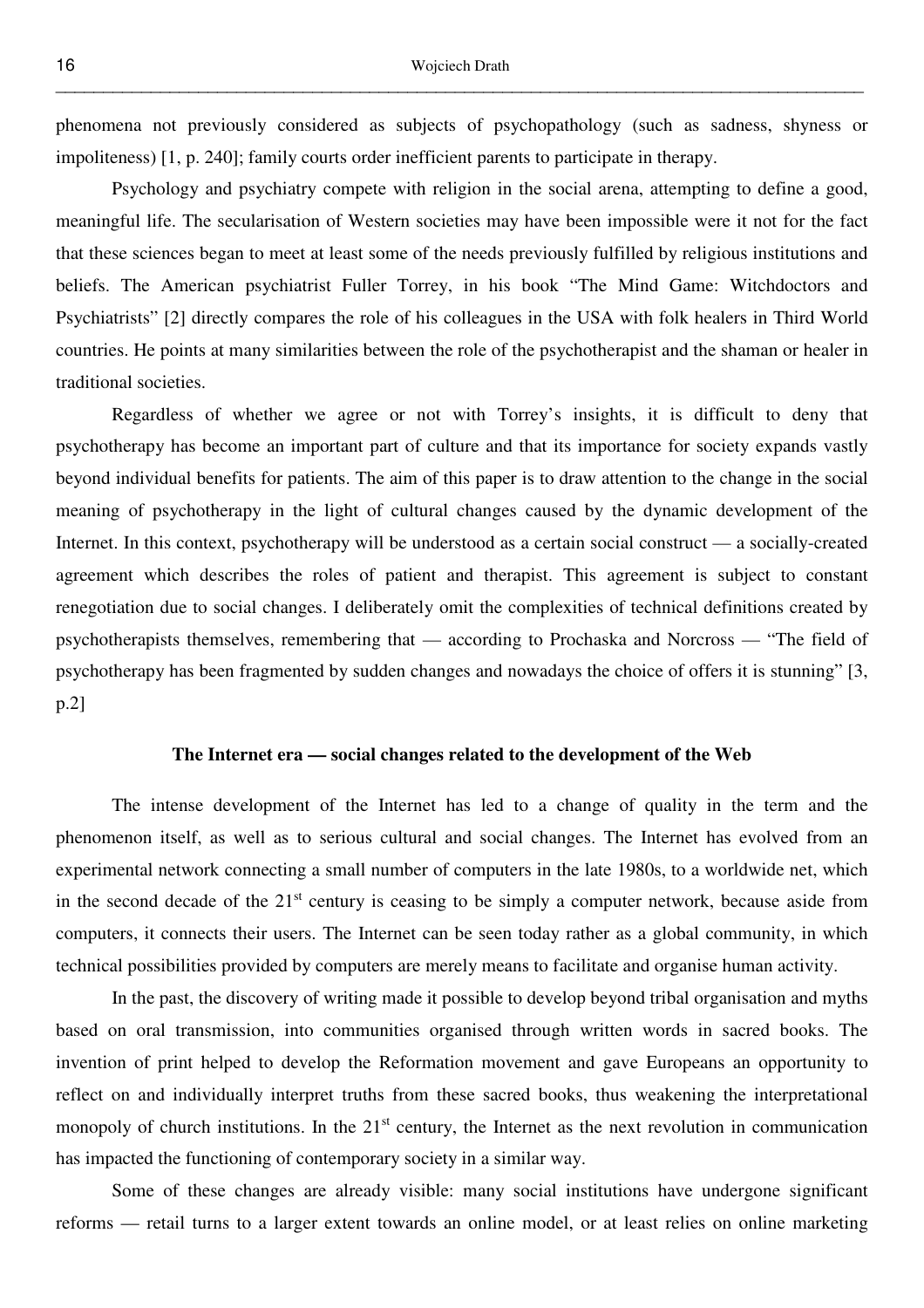phenomena not previously considered as subjects of psychopathology (such as sadness, shyness or impoliteness) [1, p. 240]; family courts order inefficient parents to participate in therapy.

 Psychology and psychiatry compete with religion in the social arena, attempting to define a good, meaningful life. The secularisation of Western societies may have been impossible were it not for the fact that these sciences began to meet at least some of the needs previously fulfilled by religious institutions and beliefs. The American psychiatrist Fuller Torrey, in his book "The Mind Game: Witchdoctors and Psychiatrists" [2] directly compares the role of his colleagues in the USA with folk healers in Third World countries. He points at many similarities between the role of the psychotherapist and the shaman or healer in traditional societies.

 Regardless of whether we agree or not with Torrey's insights, it is difficult to deny that psychotherapy has become an important part of culture and that its importance for society expands vastly beyond individual benefits for patients. The aim of this paper is to draw attention to the change in the social meaning of psychotherapy in the light of cultural changes caused by the dynamic development of the Internet. In this context, psychotherapy will be understood as a certain social construct — a socially-created agreement which describes the roles of patient and therapist. This agreement is subject to constant renegotiation due to social changes. I deliberately omit the complexities of technical definitions created by psychotherapists themselves, remembering that — according to Prochaska and Norcross — "The field of psychotherapy has been fragmented by sudden changes and nowadays the choice of offers it is stunning" [3, p.2]

# **The Internet era — social changes related to the development of the Web**

 The intense development of the Internet has led to a change of quality in the term and the phenomenon itself, as well as to serious cultural and social changes. The Internet has evolved from an experimental network connecting a small number of computers in the late 1980s, to a worldwide net, which in the second decade of the  $21<sup>st</sup>$  century is ceasing to be simply a computer network, because aside from computers, it connects their users. The Internet can be seen today rather as a global community, in which technical possibilities provided by computers are merely means to facilitate and organise human activity.

 In the past, the discovery of writing made it possible to develop beyond tribal organisation and myths based on oral transmission, into communities organised through written words in sacred books. The invention of print helped to develop the Reformation movement and gave Europeans an opportunity to reflect on and individually interpret truths from these sacred books, thus weakening the interpretational monopoly of church institutions. In the  $21<sup>st</sup>$  century, the Internet as the next revolution in communication has impacted the functioning of contemporary society in a similar way.

 Some of these changes are already visible: many social institutions have undergone significant reforms — retail turns to a larger extent towards an online model, or at least relies on online marketing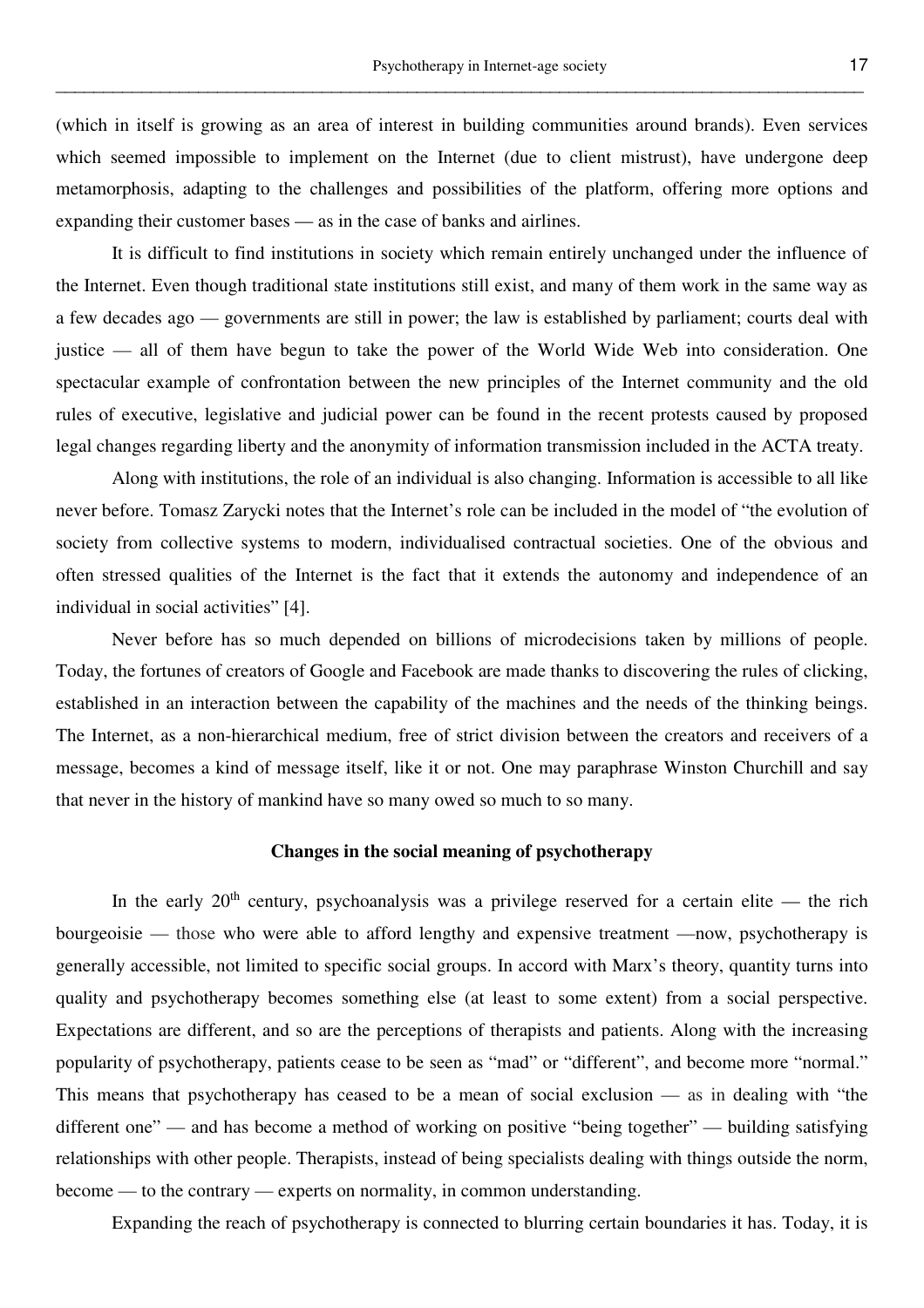(which in itself is growing as an area of interest in building communities around brands). Even services which seemed impossible to implement on the Internet (due to client mistrust), have undergone deep metamorphosis, adapting to the challenges and possibilities of the platform, offering more options and expanding their customer bases — as in the case of banks and airlines.

\_\_\_\_\_\_\_\_\_\_\_\_\_\_\_\_\_\_\_\_\_\_\_\_\_\_\_\_\_\_\_\_\_\_\_\_\_\_\_\_\_\_\_\_\_\_\_\_\_\_\_\_\_\_\_\_\_\_\_\_\_\_\_\_\_\_\_\_\_\_\_\_\_\_\_\_\_\_\_\_\_\_\_\_\_

 It is difficult to find institutions in society which remain entirely unchanged under the influence of the Internet. Even though traditional state institutions still exist, and many of them work in the same way as a few decades ago — governments are still in power; the law is established by parliament; courts deal with justice — all of them have begun to take the power of the World Wide Web into consideration. One spectacular example of confrontation between the new principles of the Internet community and the old rules of executive, legislative and judicial power can be found in the recent protests caused by proposed legal changes regarding liberty and the anonymity of information transmission included in the ACTA treaty.

 Along with institutions, the role of an individual is also changing. Information is accessible to all like never before. Tomasz Zarycki notes that the Internet's role can be included in the model of "the evolution of society from collective systems to modern, individualised contractual societies. One of the obvious and often stressed qualities of the Internet is the fact that it extends the autonomy and independence of an individual in social activities" [4].

 Never before has so much depended on billions of microdecisions taken by millions of people. Today, the fortunes of creators of Google and Facebook are made thanks to discovering the rules of clicking, established in an interaction between the capability of the machines and the needs of the thinking beings. The Internet, as a non-hierarchical medium, free of strict division between the creators and receivers of a message, becomes a kind of message itself, like it or not. One may paraphrase Winston Churchill and say that never in the history of mankind have so many owed so much to so many.

# **Changes in the social meaning of psychotherapy**

In the early  $20<sup>th</sup>$  century, psychoanalysis was a privilege reserved for a certain elite — the rich bourgeoisie — those who were able to afford lengthy and expensive treatment —now, psychotherapy is generally accessible, not limited to specific social groups. In accord with Marx's theory, quantity turns into quality and psychotherapy becomes something else (at least to some extent) from a social perspective. Expectations are different, and so are the perceptions of therapists and patients. Along with the increasing popularity of psychotherapy, patients cease to be seen as "mad" or "different", and become more "normal." This means that psychotherapy has ceased to be a mean of social exclusion — as in dealing with "the different one" — and has become a method of working on positive "being together" — building satisfying relationships with other people. Therapists, instead of being specialists dealing with things outside the norm, become — to the contrary — experts on normality, in common understanding.

Expanding the reach of psychotherapy is connected to blurring certain boundaries it has. Today, it is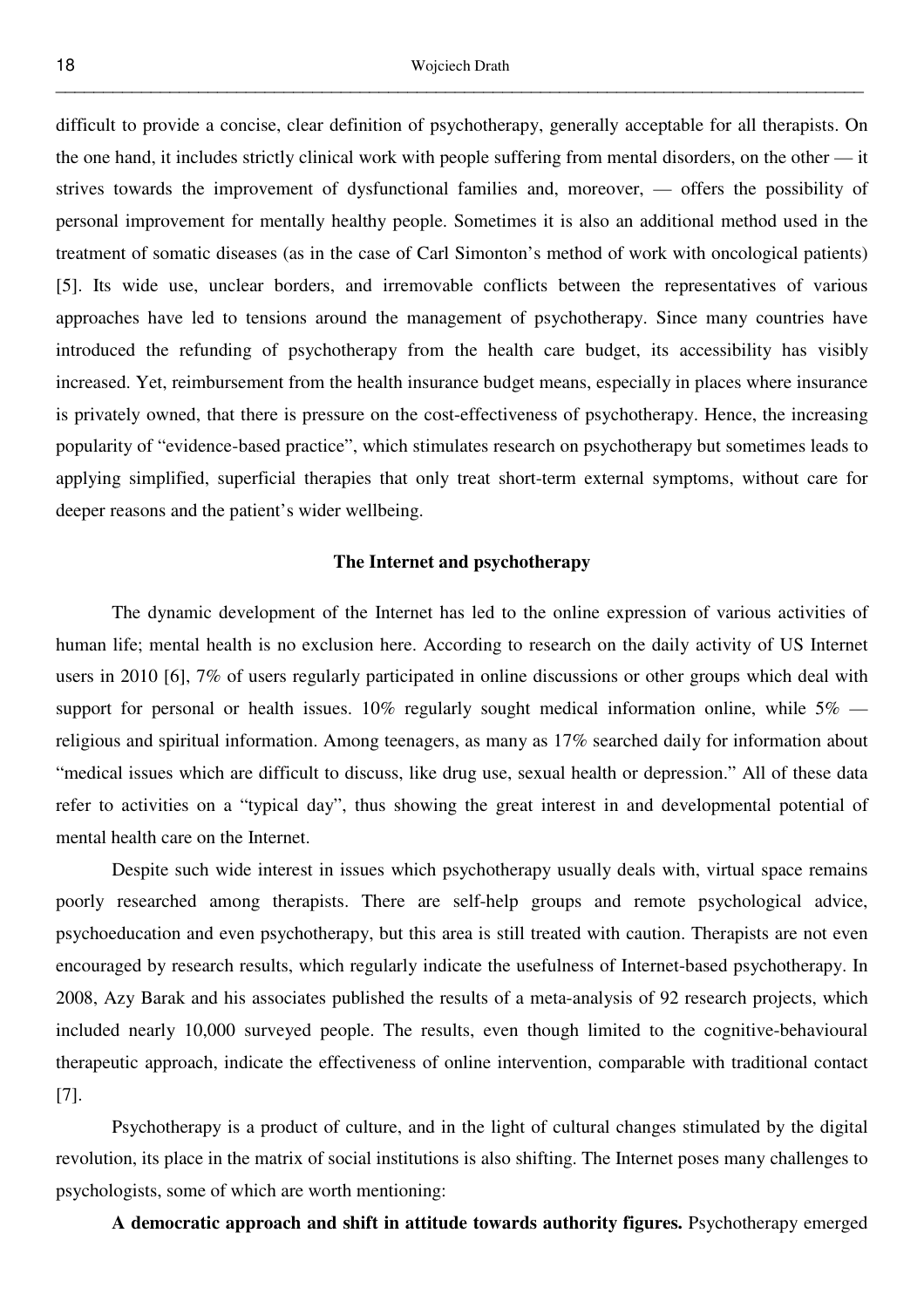difficult to provide a concise, clear definition of psychotherapy, generally acceptable for all therapists. On the one hand, it includes strictly clinical work with people suffering from mental disorders, on the other — it strives towards the improvement of dysfunctional families and, moreover, — offers the possibility of personal improvement for mentally healthy people. Sometimes it is also an additional method used in the treatment of somatic diseases (as in the case of Carl Simonton's method of work with oncological patients) [5]. Its wide use, unclear borders, and irremovable conflicts between the representatives of various approaches have led to tensions around the management of psychotherapy. Since many countries have introduced the refunding of psychotherapy from the health care budget, its accessibility has visibly increased. Yet, reimbursement from the health insurance budget means, especially in places where insurance is privately owned, that there is pressure on the cost-effectiveness of psychotherapy. Hence, the increasing popularity of "evidence-based practice", which stimulates research on psychotherapy but sometimes leads to applying simplified, superficial therapies that only treat short-term external symptoms, without care for deeper reasons and the patient's wider wellbeing.

# **The Internet and psychotherapy**

 The dynamic development of the Internet has led to the online expression of various activities of human life; mental health is no exclusion here. According to research on the daily activity of US Internet users in 2010 [6], 7% of users regularly participated in online discussions or other groups which deal with support for personal or health issues. 10% regularly sought medical information online, while  $5\%$  religious and spiritual information. Among teenagers, as many as 17% searched daily for information about "medical issues which are difficult to discuss, like drug use, sexual health or depression." All of these data refer to activities on a "typical day", thus showing the great interest in and developmental potential of mental health care on the Internet.

 Despite such wide interest in issues which psychotherapy usually deals with, virtual space remains poorly researched among therapists. There are self-help groups and remote psychological advice, psychoeducation and even psychotherapy, but this area is still treated with caution. Therapists are not even encouraged by research results, which regularly indicate the usefulness of Internet-based psychotherapy. In 2008, Azy Barak and his associates published the results of a meta-analysis of 92 research projects, which included nearly 10,000 surveyed people. The results, even though limited to the cognitive-behavioural therapeutic approach, indicate the effectiveness of online intervention, comparable with traditional contact [7].

 Psychotherapy is a product of culture, and in the light of cultural changes stimulated by the digital revolution, its place in the matrix of social institutions is also shifting. The Internet poses many challenges to psychologists, some of which are worth mentioning:

 **A democratic approach and shift in attitude towards authority figures.** Psychotherapy emerged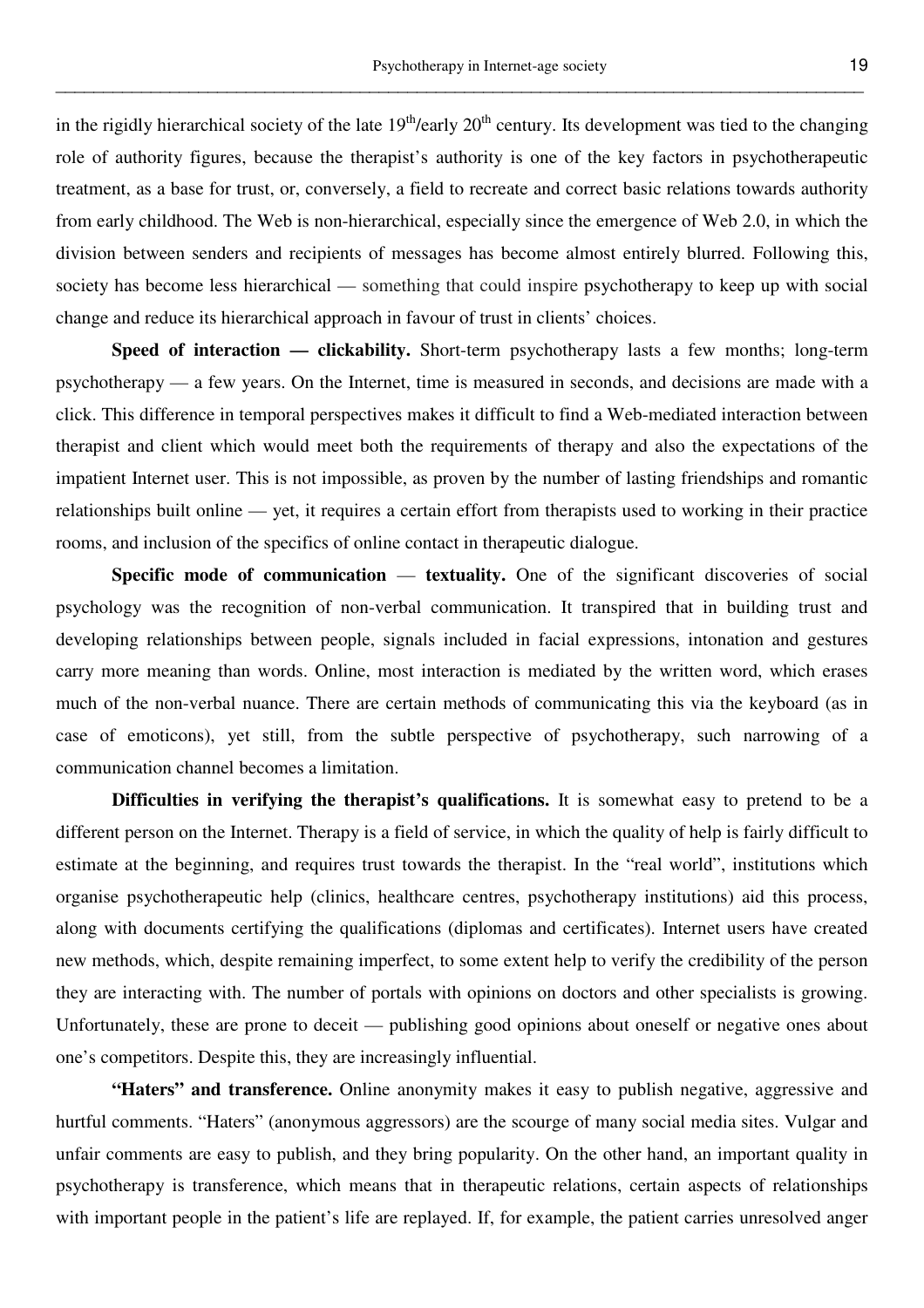in the rigidly hierarchical society of the late  $19<sup>th</sup>/early 20<sup>th</sup>$  century. Its development was tied to the changing role of authority figures, because the therapist's authority is one of the key factors in psychotherapeutic treatment, as a base for trust, or, conversely, a field to recreate and correct basic relations towards authority from early childhood. The Web is non-hierarchical, especially since the emergence of Web 2.0, in which the division between senders and recipients of messages has become almost entirely blurred. Following this, society has become less hierarchical — something that could inspire psychotherapy to keep up with social change and reduce its hierarchical approach in favour of trust in clients' choices.

\_\_\_\_\_\_\_\_\_\_\_\_\_\_\_\_\_\_\_\_\_\_\_\_\_\_\_\_\_\_\_\_\_\_\_\_\_\_\_\_\_\_\_\_\_\_\_\_\_\_\_\_\_\_\_\_\_\_\_\_\_\_\_\_\_\_\_\_\_\_\_\_\_\_\_\_\_\_\_\_\_\_\_\_\_

**Speed of interaction — clickability.** Short-term psychotherapy lasts a few months; long-term psychotherapy — a few years. On the Internet, time is measured in seconds, and decisions are made with a click. This difference in temporal perspectives makes it difficult to find a Web-mediated interaction between therapist and client which would meet both the requirements of therapy and also the expectations of the impatient Internet user. This is not impossible, as proven by the number of lasting friendships and romantic relationships built online — yet, it requires a certain effort from therapists used to working in their practice rooms, and inclusion of the specifics of online contact in therapeutic dialogue.

**Specific mode of communication — textuality.** One of the significant discoveries of social psychology was the recognition of non-verbal communication. It transpired that in building trust and developing relationships between people, signals included in facial expressions, intonation and gestures carry more meaning than words. Online, most interaction is mediated by the written word, which erases much of the non-verbal nuance. There are certain methods of communicating this via the keyboard (as in case of emoticons), yet still, from the subtle perspective of psychotherapy, such narrowing of a communication channel becomes a limitation.

**Difficulties in verifying the therapist's qualifications.** It is somewhat easy to pretend to be a different person on the Internet. Therapy is a field of service, in which the quality of help is fairly difficult to estimate at the beginning, and requires trust towards the therapist. In the "real world", institutions which organise psychotherapeutic help (clinics, healthcare centres, psychotherapy institutions) aid this process, along with documents certifying the qualifications (diplomas and certificates). Internet users have created new methods, which, despite remaining imperfect, to some extent help to verify the credibility of the person they are interacting with. The number of portals with opinions on doctors and other specialists is growing. Unfortunately, these are prone to deceit — publishing good opinions about oneself or negative ones about one's competitors. Despite this, they are increasingly influential.

 **"Haters" and transference.** Online anonymity makes it easy to publish negative, aggressive and hurtful comments. "Haters" (anonymous aggressors) are the scourge of many social media sites. Vulgar and unfair comments are easy to publish, and they bring popularity. On the other hand, an important quality in psychotherapy is transference, which means that in therapeutic relations, certain aspects of relationships with important people in the patient's life are replayed. If, for example, the patient carries unresolved anger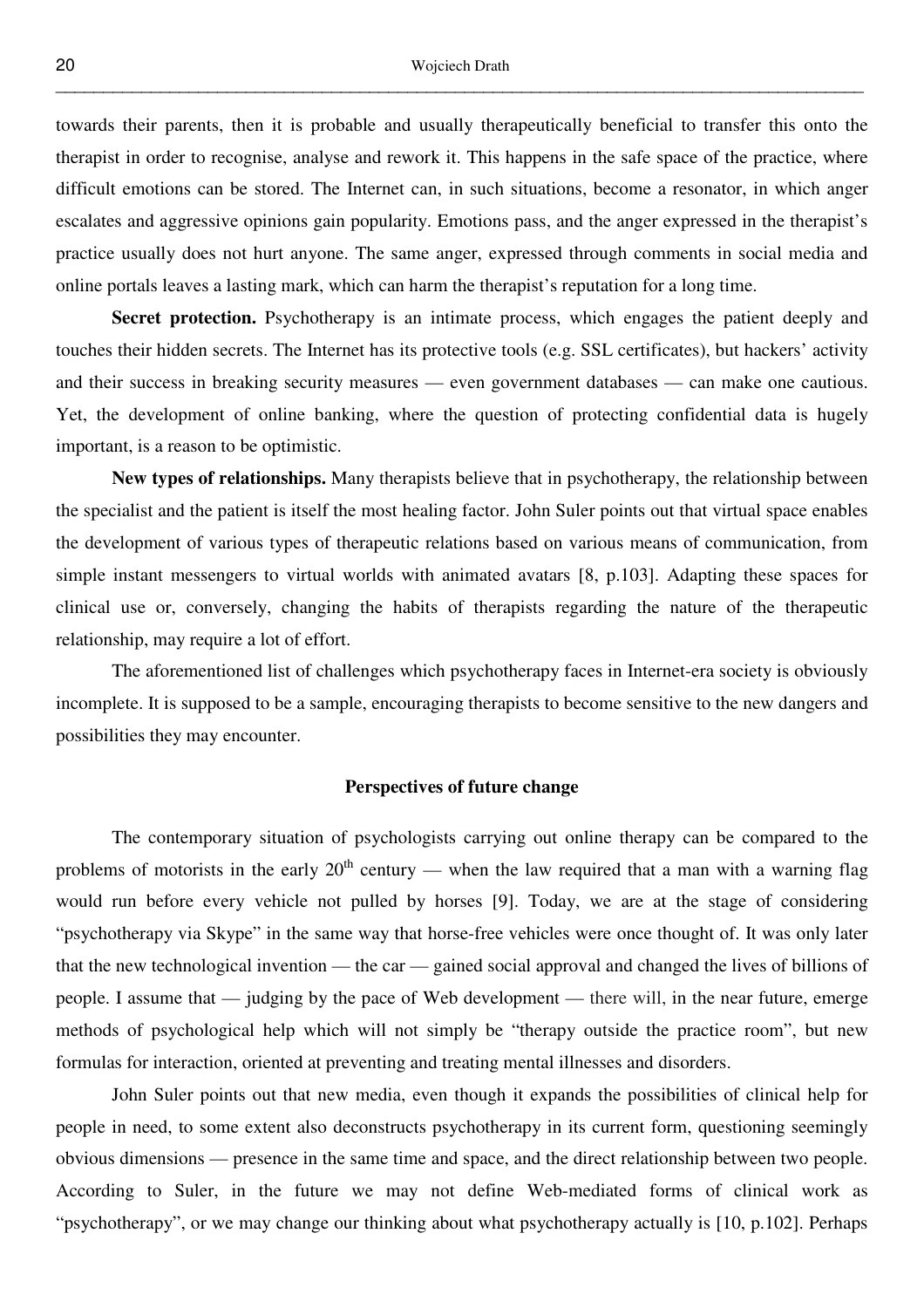towards their parents, then it is probable and usually therapeutically beneficial to transfer this onto the therapist in order to recognise, analyse and rework it. This happens in the safe space of the practice, where difficult emotions can be stored. The Internet can, in such situations, become a resonator, in which anger escalates and aggressive opinions gain popularity. Emotions pass, and the anger expressed in the therapist's practice usually does not hurt anyone. The same anger, expressed through comments in social media and online portals leaves a lasting mark, which can harm the therapist's reputation for a long time.

 **Secret protection.** Psychotherapy is an intimate process, which engages the patient deeply and touches their hidden secrets. The Internet has its protective tools (e.g. SSL certificates), but hackers' activity and their success in breaking security measures — even government databases — can make one cautious. Yet, the development of online banking, where the question of protecting confidential data is hugely important, is a reason to be optimistic.

 **New types of relationships.** Many therapists believe that in psychotherapy, the relationship between the specialist and the patient is itself the most healing factor. John Suler points out that virtual space enables the development of various types of therapeutic relations based on various means of communication, from simple instant messengers to virtual worlds with animated avatars [8, p.103]. Adapting these spaces for clinical use or, conversely, changing the habits of therapists regarding the nature of the therapeutic relationship, may require a lot of effort.

 The aforementioned list of challenges which psychotherapy faces in Internet-era society is obviously incomplete. It is supposed to be a sample, encouraging therapists to become sensitive to the new dangers and possibilities they may encounter.

# **Perspectives of future change**

 The contemporary situation of psychologists carrying out online therapy can be compared to the problems of motorists in the early  $20<sup>th</sup>$  century — when the law required that a man with a warning flag would run before every vehicle not pulled by horses [9]. Today, we are at the stage of considering "psychotherapy via Skype" in the same way that horse-free vehicles were once thought of. It was only later that the new technological invention — the car — gained social approval and changed the lives of billions of people. I assume that — judging by the pace of Web development — there will, in the near future, emerge methods of psychological help which will not simply be "therapy outside the practice room", but new formulas for interaction, oriented at preventing and treating mental illnesses and disorders.

 John Suler points out that new media, even though it expands the possibilities of clinical help for people in need, to some extent also deconstructs psychotherapy in its current form, questioning seemingly obvious dimensions — presence in the same time and space, and the direct relationship between two people. According to Suler, in the future we may not define Web-mediated forms of clinical work as "psychotherapy", or we may change our thinking about what psychotherapy actually is [10, p.102]. Perhaps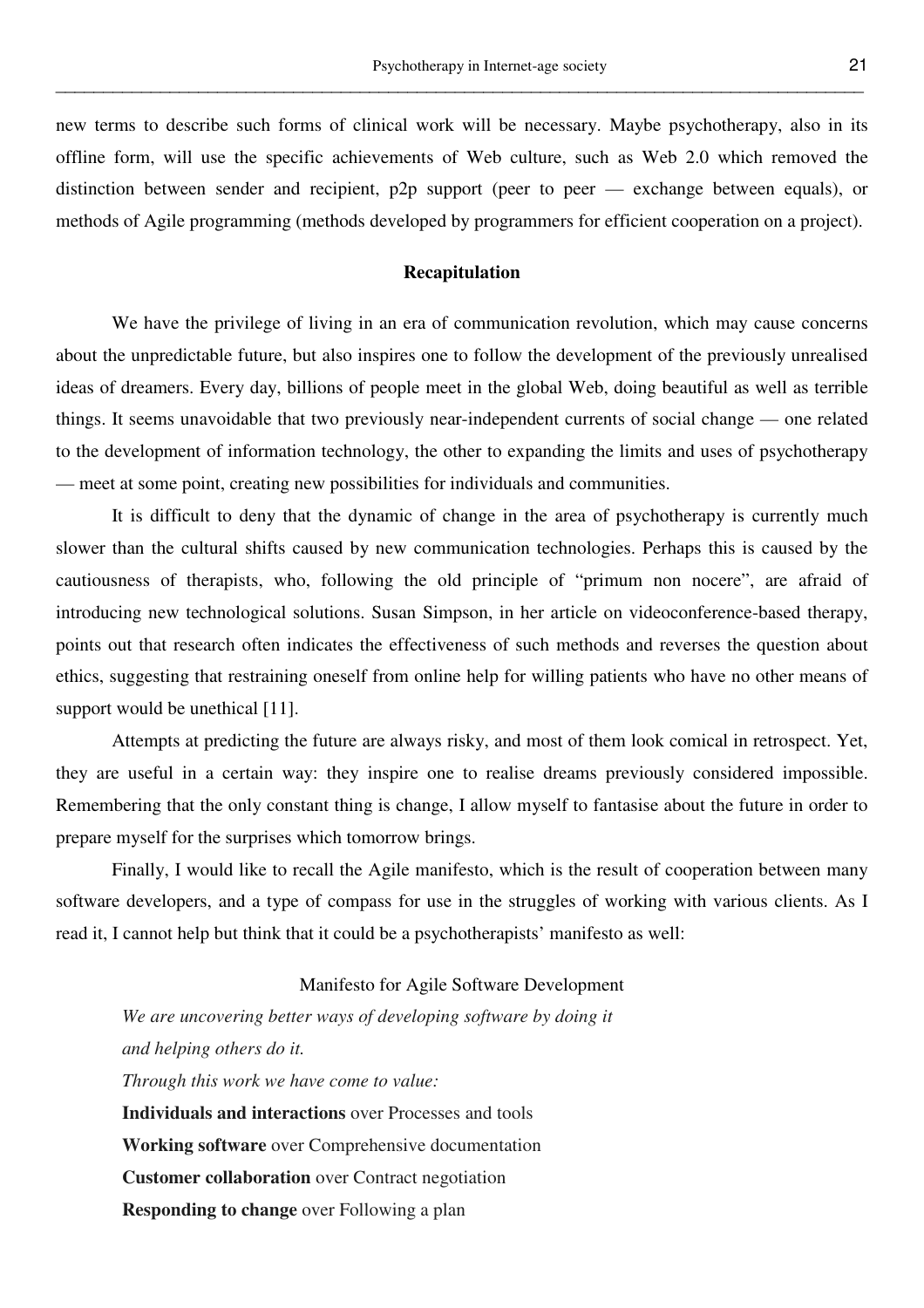new terms to describe such forms of clinical work will be necessary. Maybe psychotherapy, also in its offline form, will use the specific achievements of Web culture, such as Web 2.0 which removed the distinction between sender and recipient, p2p support (peer to peer — exchange between equals), or methods of Agile programming (methods developed by programmers for efficient cooperation on a project).

\_\_\_\_\_\_\_\_\_\_\_\_\_\_\_\_\_\_\_\_\_\_\_\_\_\_\_\_\_\_\_\_\_\_\_\_\_\_\_\_\_\_\_\_\_\_\_\_\_\_\_\_\_\_\_\_\_\_\_\_\_\_\_\_\_\_\_\_\_\_\_\_\_\_\_\_\_\_\_\_\_\_\_\_\_

# **Recapitulation**

We have the privilege of living in an era of communication revolution, which may cause concerns about the unpredictable future, but also inspires one to follow the development of the previously unrealised ideas of dreamers. Every day, billions of people meet in the global Web, doing beautiful as well as terrible things. It seems unavoidable that two previously near-independent currents of social change — one related to the development of information technology, the other to expanding the limits and uses of psychotherapy — meet at some point, creating new possibilities for individuals and communities.

 It is difficult to deny that the dynamic of change in the area of psychotherapy is currently much slower than the cultural shifts caused by new communication technologies. Perhaps this is caused by the cautiousness of therapists, who, following the old principle of "primum non nocere", are afraid of introducing new technological solutions. Susan Simpson, in her article on videoconference-based therapy, points out that research often indicates the effectiveness of such methods and reverses the question about ethics, suggesting that restraining oneself from online help for willing patients who have no other means of support would be unethical [11].

 Attempts at predicting the future are always risky, and most of them look comical in retrospect. Yet, they are useful in a certain way: they inspire one to realise dreams previously considered impossible. Remembering that the only constant thing is change, I allow myself to fantasise about the future in order to prepare myself for the surprises which tomorrow brings.

 Finally, I would like to recall the Agile manifesto, which is the result of cooperation between many software developers, and a type of compass for use in the struggles of working with various clients. As I read it, I cannot help but think that it could be a psychotherapists' manifesto as well:

# Manifesto for Agile Software Development

*We are uncovering better ways of developing software by doing it and helping others do it. Through this work we have come to value:* **Individuals and interactions** over Processes and tools **Working software** over Comprehensive documentation **Customer collaboration** over Contract negotiation **Responding to change** over Following a plan